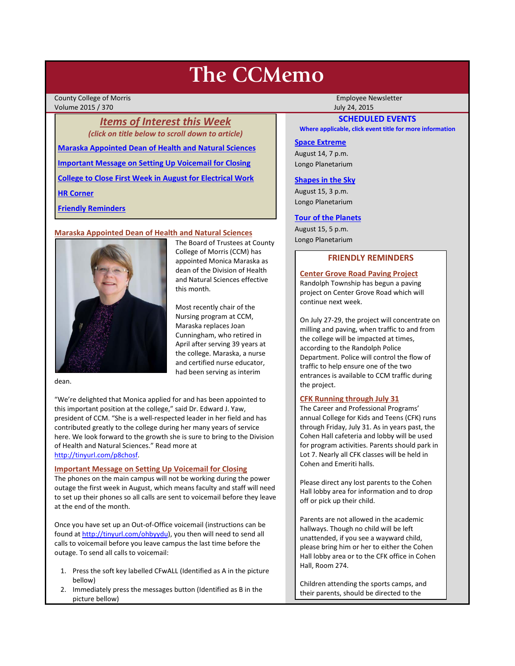# **The CCMemo**

County College of Morris **Employee Newsletter** Employee Newsletter Volume 2015 / 370 July 24, 2015

*Items of Interest this Week (click on title below to scroll down to article)* **[Maraska Appointed Dean of Health and Natural Sciences](#page-0-0) [Important Message on Setting Up Voicemail for Closing](#page-0-1) [College to Close First Week in August for Electrical Work](#page-1-0) [HR Corner](#page-1-1) [Friendly Reminders](#page-0-2)**

# <span id="page-0-0"></span>**Maraska Appointed Dean of Health and Natural Sciences**



The Board of Trustees at County College of Morris (CCM) has appointed Monica Maraska as dean of the Division of Health and Natural Sciences effective this month.

Most recently chair of the Nursing program at CCM, Maraska replaces Joan Cunningham, who retired in April after serving 39 years at the college. Maraska, a nurse and certified nurse educator, had been serving as interim

dean.

"We're delighted that Monica applied for and has been appointed to this important position at the college," said Dr. Edward J. Yaw, president of CCM. "She is a well-respected leader in her field and has contributed greatly to the college during her many years of service here. We look forward to the growth she is sure to bring to the Division of Health and Natural Sciences." Read more at [http://tinyurl.com/p8chosf.](http://tinyurl.com/p8chosf)

## <span id="page-0-1"></span>**Important Message on Setting Up Voicemail for Closing**

The phones on the main campus will not be working during the power outage the first week in August, which means faculty and staff will need to set up their phones so all calls are sent to voicemail before they leave at the end of the month.

Once you have set up an Out-of-Office voicemail (instructions can be found at [http://tinyurl.com/ohbyydu\)](http://tinyurl.com/ohbyydu), you then will need to send all calls to voicemail before you leave campus the last time before the outage. To send all calls to voicemail:

- 1. Press the soft key labelled CFwALL (Identified as A in the picture bellow)
- 2. Immediately press the messages button (Identified as B in the picture bellow)

# **SCHEDULED EVENTS**

**Where applicable, click event title for more information**

# **[Space Extreme](http://www.ccm.edu/newsEvents/eventDetails.aspx?Channel=/Channels/Sitewide&WorkflowItemID=1874a4b0-0bcb-4ed1-a29e-7b4f8d25e45d)**

August 14, 7 p.m. Longo Planetarium

#### **[Shapes in the Sky](http://www.ccm.edu/newsEvents/eventDetails.aspx?Channel=/Channels/Sitewide&WorkflowItemID=1922c928-86d3-4e75-b6a2-fd618033989c)**

August 15, 3 p.m. Longo Planetarium

#### **[Tour of the Planets](http://www.ccm.edu/newsEvents/eventDetails.aspx?Channel=/Channels/Sitewide&WorkflowItemID=5834aa20-68ba-4fa2-a3ac-75b2311ba441)**

August 15, 5 p.m. Longo Planetarium

# **FRIENDLY REMINDERS**

<span id="page-0-2"></span>**Center Grove Road Paving Project** Randolph Township has begun a paving project on Center Grove Road which will continue next week.

On July 27-29, the project will concentrate on milling and paving, when traffic to and from the college will be impacted at times, according to the Randolph Police Department. Police will control the flow of traffic to help ensure one of the two entrances is available to CCM traffic during the project.

# **CFK Running through July 31**

The Career and Professional Programs' annual College for Kids and Teens (CFK) runs through Friday, July 31. As in years past, the Cohen Hall cafeteria and lobby will be used for program activities. Parents should park in Lot 7. Nearly all CFK classes will be held in Cohen and Emeriti halls.

Please direct any lost parents to the Cohen Hall lobby area for information and to drop off or pick up their child.

Parents are not allowed in the academic hallways. Though no child will be left unattended, if you see a wayward child, please bring him or her to either the Cohen Hall lobby area or to the CFK office in Cohen Hall, Room 274.

Children attending the sports camps, and their parents, should be directed to the